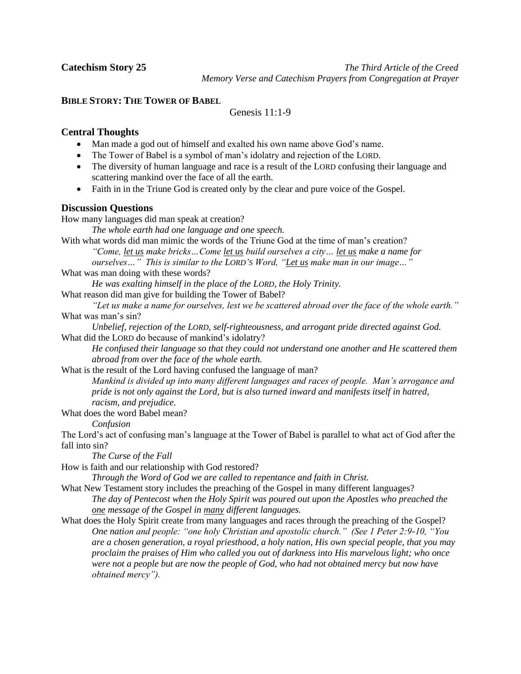**Catechism Story 25** *The Third Article of the Creed* *Memory Verse and Catechism Prayers from Congregation at Prayer*

# **BIBLE STORY: THE TOWER OF BABEL**

Genesis 11:1-9

## **Central Thoughts**

- Man made a god out of himself and exalted his own name above God's name.
- The Tower of Babel is a symbol of man's idolatry and rejection of the LORD.
- The diversity of human language and race is a result of the LORD confusing their language and scattering mankind over the face of all the earth.
- Faith in in the Triune God is created only by the clear and pure voice of the Gospel.

## **Discussion Questions**

How many languages did man speak at creation?

*The whole earth had one language and one speech.*

With what words did man mimic the words of the Triune God at the time of man's creation? *"Come, let us make bricks…Come let us build ourselves a city… let us make a name for ourselves…" This is similar to the LORD'S Word, "Let us make man in our image…"*

What was man doing with these words?

*He was exalting himself in the place of the LORD, the Holy Trinity.*

What reason did man give for building the Tower of Babel?

*"Let us make a name for ourselves, lest we be scattered abroad over the face of the whole earth."* What was man's sin?

*Unbelief, rejection of the LORD, self-righteousness, and arrogant pride directed against God.* What did the LORD do because of mankind's idolatry?

*He confused their language so that they could not understand one another and He scattered them abroad from over the face of the whole earth.*

What is the result of the Lord having confused the language of man?

*Mankind is divided up into many different languages and races of people. Man's arrogance and pride is not only against the Lord, but is also turned inward and manifests itself in hatred, racism, and prejudice.*

What does the word Babel mean?

*Confusion*

The Lord's act of confusing man's language at the Tower of Babel is parallel to what act of God after the fall into sin?

*The Curse of the Fall*

How is faith and our relationship with God restored?

*Through the Word of God we are called to repentance and faith in Christ.*

- What New Testament story includes the preaching of the Gospel in many different languages? *The day of Pentecost when the Holy Spirit was poured out upon the Apostles who preached the one message of the Gospel in many different languages.*
- What does the Holy Spirit create from many languages and races through the preaching of the Gospel? *One nation and people: "one holy Christian and apostolic church." (See 1 Peter 2:9-10, "You are a chosen generation, a royal priesthood, a holy nation, His own special people, that you may proclaim the praises of Him who called you out of darkness into His marvelous light; who once were not a people but are now the people of God, who had not obtained mercy but now have obtained mercy").*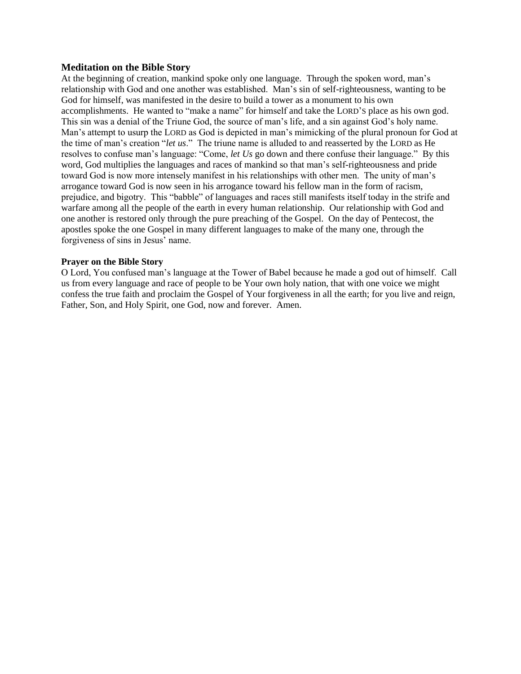### **Meditation on the Bible Story**

At the beginning of creation, mankind spoke only one language. Through the spoken word, man's relationship with God and one another was established. Man's sin of self-righteousness, wanting to be God for himself, was manifested in the desire to build a tower as a monument to his own accomplishments. He wanted to "make a name" for himself and take the LORD'S place as his own god. This sin was a denial of the Triune God, the source of man's life, and a sin against God's holy name. Man's attempt to usurp the LORD as God is depicted in man's mimicking of the plural pronoun for God at the time of man's creation "*let us*." The triune name is alluded to and reasserted by the LORD as He resolves to confuse man's language: "Come, *let Us* go down and there confuse their language." By this word, God multiplies the languages and races of mankind so that man's self-righteousness and pride toward God is now more intensely manifest in his relationships with other men. The unity of man's arrogance toward God is now seen in his arrogance toward his fellow man in the form of racism, prejudice, and bigotry. This "babble" of languages and races still manifests itself today in the strife and warfare among all the people of the earth in every human relationship. Our relationship with God and one another is restored only through the pure preaching of the Gospel. On the day of Pentecost, the apostles spoke the one Gospel in many different languages to make of the many one, through the forgiveness of sins in Jesus' name.

### **Prayer on the Bible Story**

O Lord, You confused man's language at the Tower of Babel because he made a god out of himself. Call us from every language and race of people to be Your own holy nation, that with one voice we might confess the true faith and proclaim the Gospel of Your forgiveness in all the earth; for you live and reign, Father, Son, and Holy Spirit, one God, now and forever. Amen.